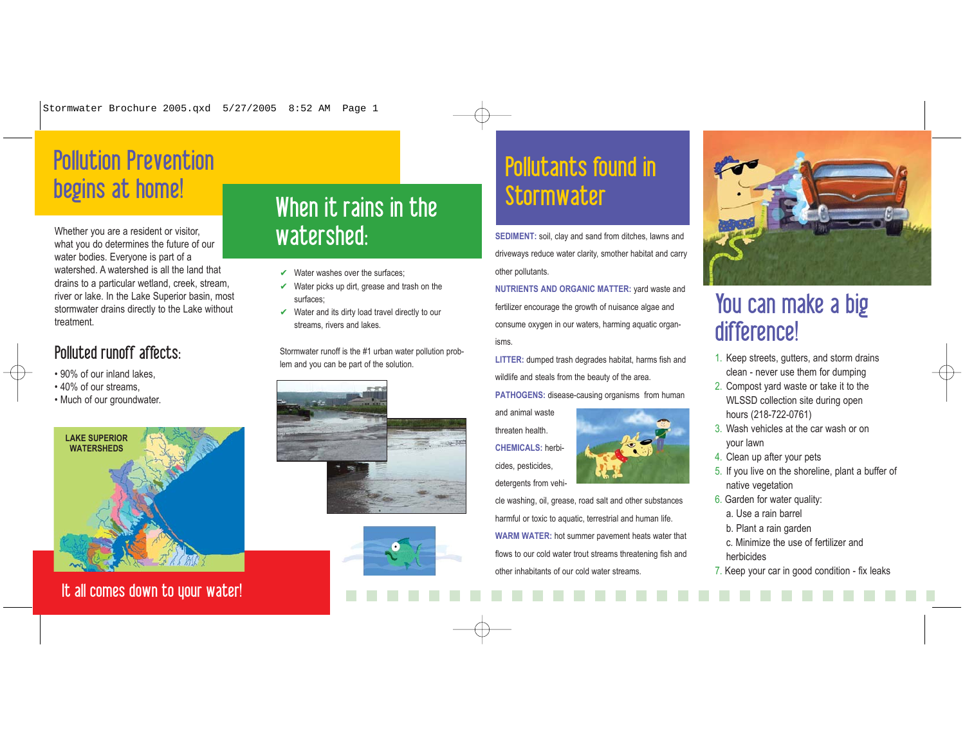Stormwater Brochure 2005.qxd 5/27/2005 8:52 AM Page 1

# Pollution Prevention begins at home!<br>
When it rains in the

Whether you are a resident or visitor, what you do determines the future of our water bodies. Everyone is part of a watershed. A watershed is all the land that drains to a particular wetland, creek, stream, river or lake. In the Lake Superior basin, most stormwater drains directly to the Lake without treatment.

## Polluted runoff affects:

- 90% of our inland lakes,
- 40% of our streams,
- Much of our groundwater.



It all comes down to your water!

# watershed:

- $\vee$  Water washes over the surfaces;
- $\vee$  Water picks up dirt, grease and trash on the surfaces;
- $\vee$  Water and its dirty load travel directly to our streams, rivers and lakes.

Stormwater runoff is the #1 urban water pollution problem and you can be part of the solution.





# Pollutants found in **Stormwater**

**SEDIMENT:** soil, clay and sand from ditches, lawns and driveways reduce water clarity, smother habitat and carry other pollutants.

**NUTRIENTS AND ORGANIC MATTER:** yard waste and fertilizer encourage the growth of nuisance algae and consume oxygen in our waters, harming aquatic organisms.

**LITTER:** dumped trash degrades habitat, harms fish and wildlife and steals from the beauty of the area.

**PATHOGENS:** disease-causing organisms from human

and animal waste threaten health. **CHEMICALS:** herbicides, pesticides, detergents from vehi-

cle washing, oil, grease, road salt and other substances harmful or toxic to aquatic, terrestrial and human life. **WARM WATER:** hot summer pavement heats water that flows to our cold water trout streams threatening fish and other inhabitants of our cold water streams.



# You can make a big difference!

- 1. Keep streets, gutters, and storm drains clean - never use them for dumping
- 2. Compost yard waste or take it to the WLSSD collection site during open hours (218-722-0761)
- 3. Wash vehicles at the car wash or on your lawn
- 4. Clean up after your pets
- 5. If you live on the shoreline, plant a buffer of native vegetation
- 6. Garden for water quality:
	- a. Use a rain barrel
	- b. Plant a rain garden
- c. Minimize the use of fertilizer and herbicides
- 7. Keep your car in good condition fix leaks